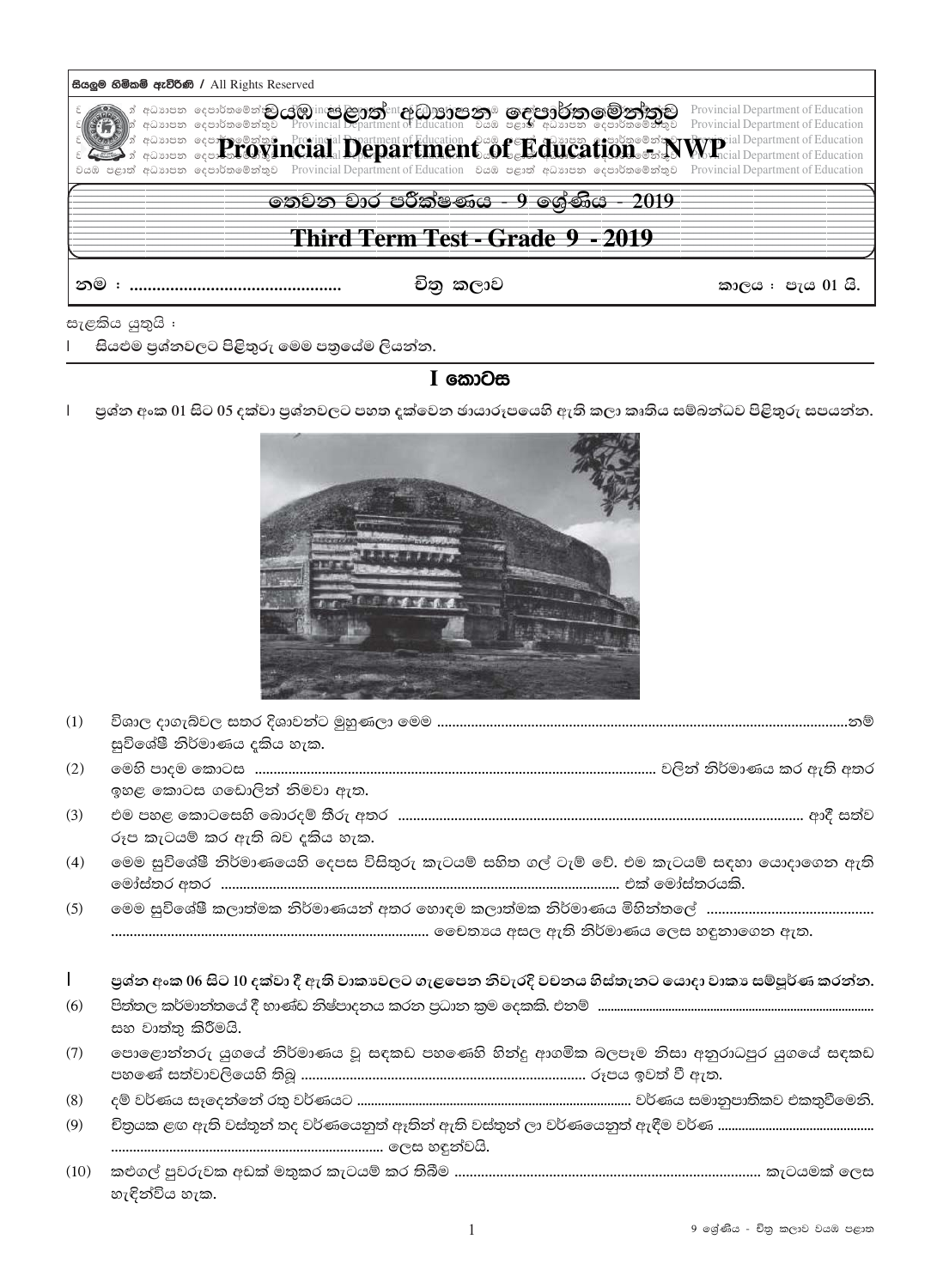| සියලුම හිමිකම් ඇව්රිණි / All Rights Reserved                                                                                                                                                                                                                                                                                                                                                                                                                 |                                                                          |  |  |  |  |
|--------------------------------------------------------------------------------------------------------------------------------------------------------------------------------------------------------------------------------------------------------------------------------------------------------------------------------------------------------------------------------------------------------------------------------------------------------------|--------------------------------------------------------------------------|--|--|--|--|
| ා අධාාපන දෙපාර්තමේන්තු යුමු inc <mark>ed ලහුණු</mark> ent <b>උ</b> වහුල් පාල කාම ගෙළ පිරිත ගම් නැත්තුව<br> ා අධාාපන දෙපාර්තමේන්තුව Provincial Department of Education වියඹ පළාත් අධාාපන දෙපාර්තමේන්තුව<br><b>Example 2018 and the competition of Education and C. B. Cure and C. B. B. Competition of Education</b><br>වයඹ පළාත් අධාාපන දෙපාර්තමේන්තුව Provincial Department of Education වයඹ පළාත් අධාාපන දෙපාර්තමේන්තුව Provincial Department of Education | Provincial Department of Education<br>Provincial Department of Education |  |  |  |  |
| තෙවන වාර පරීක්ෂණය - 9 ශේණිය - 2019                                                                                                                                                                                                                                                                                                                                                                                                                           |                                                                          |  |  |  |  |
| Third Term Test - Grade 9 - 2019                                                                                                                                                                                                                                                                                                                                                                                                                             |                                                                          |  |  |  |  |
| නම :<br>චිතු කලාව<br>කාලය : පැය 01 යි.                                                                                                                                                                                                                                                                                                                                                                                                                       |                                                                          |  |  |  |  |
| ജമിദ്ധാരി :                                                                                                                                                                                                                                                                                                                                                                                                                                                  |                                                                          |  |  |  |  |

සැළකිය යුතුයි සියළුම පුශ්නවලට පිළිතුරු මෙම පතුයේම ලියන්න.  $\mathbf{I}$ 

## I කොටස

පුශ්න අංක 01 සිට 05 දක්වා පුශ්නවලට පහත දක්වෙන ඡායාරූපයෙහි ඇති කලා කෘතිය සම්බන්ධව පිළිතුරු සපයන්න.  $\mathbf I$ 



| (1)          | සුවිශේෂී නිර්මාණය දකිය හැක.                                                                     |
|--------------|-------------------------------------------------------------------------------------------------|
| (2)          | ඉහළ කොටස ගඩොලින් නිමවා ඇත.                                                                      |
| (3)          | රූප කැටයම් කර ඇති බව දකිය හැක.                                                                  |
| (4)          | මෙම සුවිශේෂී නිර්මාණයෙහි දෙපස විසිතුරු කැටයම් සහිත ගල් ටැම් වේ. එම කැටයම් සඳහා යොදාගෙන ඇති      |
| (5)          |                                                                                                 |
| $\mathbf{L}$ | පුශ්න අංක 06 සිට 10 දක්වා දී ඇති වාකාවලට ගැළපෙන නිවැරදි වචනය හිස්තැනට යොදා වාකා සම්පූර්ණ කරන්න. |
| (6)          | සහ වාත්තු කිරීමයි.                                                                              |
| (7)          | පොළොන්නරු යුගයේ නිර්මාණය වූ සඳකඩ පහණෙහි හින්දු ආගමික බලපෑම නිසා අනුරාධපුර යුගයේ සඳකඩ            |
| (8)          |                                                                                                 |
| (9)          |                                                                                                 |
|              |                                                                                                 |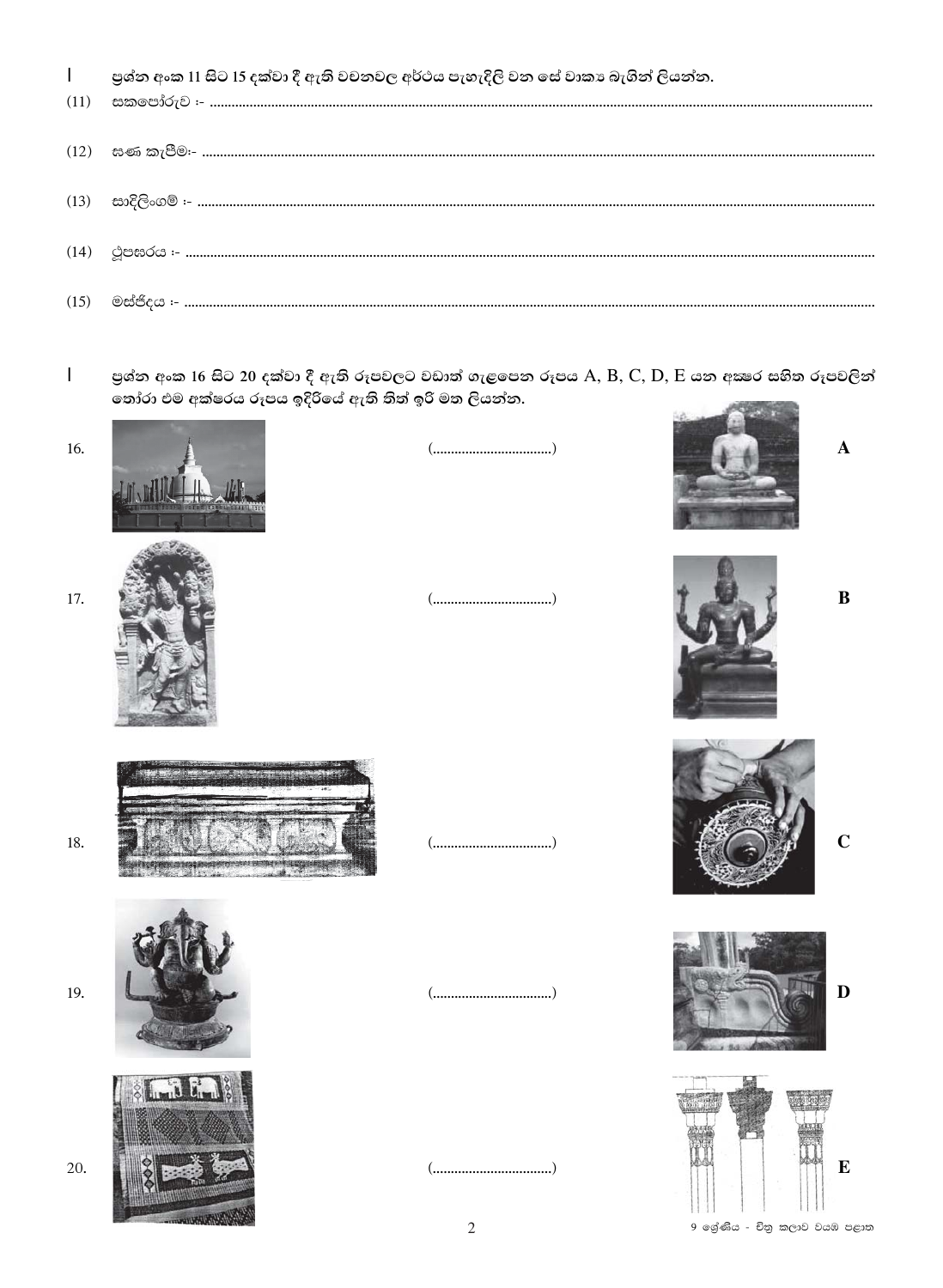|  |  |  |  |  |  | පුශ්න අංක 11 සිට 15 දක්වා දී ඇති වචනවල අර්ථය පැහැදිලි වන සේ වාකා බැගින් ලියන්න. |
|--|--|--|--|--|--|---------------------------------------------------------------------------------|
|--|--|--|--|--|--|---------------------------------------------------------------------------------|

| $(12) \quad \  \  x \cdot \infty \quad \text{and} \quad \  \  x \cdot \infty.$ |
|--------------------------------------------------------------------------------|
|                                                                                |
|                                                                                |
|                                                                                |

පුශ්න අංක 16 සිට 20 දක්වා දී ඇති රූපවලට වඩාත් ගැළපෙන රූපය A, B, C, D, E යන අකෂර සහිත රූපවලින්<br>තෝරා එම අක්ෂරය රූපය ඉදිරියේ ඇති තිත් ඉරි මත ලියන්න.  $\mathbf{I}$ 

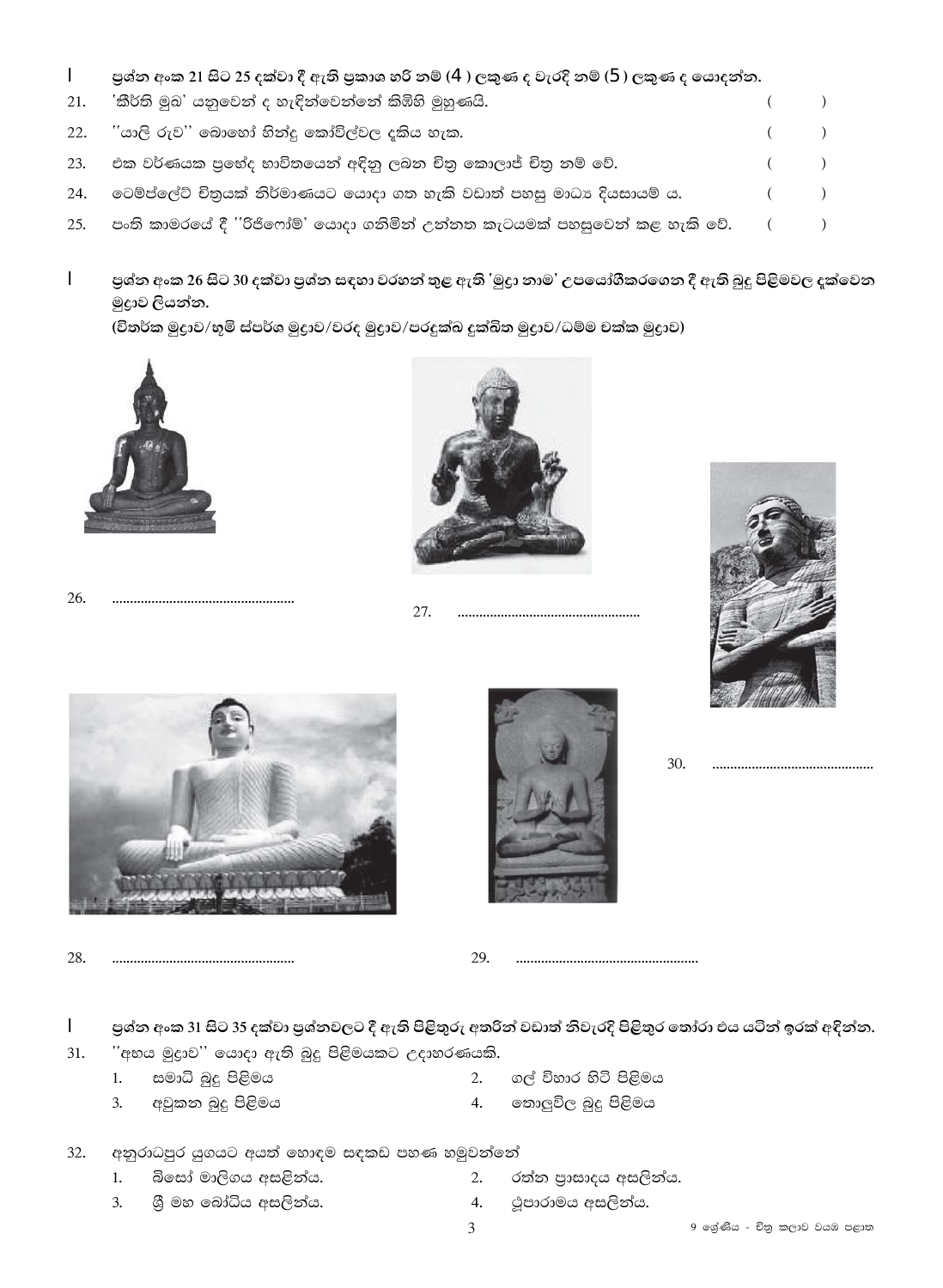- $\mathbf{I}$ පුශ්න අංක 21 සිට 25 දක්වා දී ඇති පුකාශ හරි නම් (4) ලකුණ ද වැරදි නම් (5) ලකුණ ද යොදන්න.
- 21. 'කීර්ති මුඛ' යනුවෙන් ද හැඳින්වෙන්නේ කිඹිහි මුහුණයි.  $\overline{(\ }$  $\lambda$ ියාලි රුව'' බොහෝ හින්දු කෝවිල්වල දකිය හැක. 22.  $\overline{(\ }$  $\lambda$ එක වර්ණයක පුහේද භාවිතයෙන් අඳිනු ලබන චිතු කොලාජ් චිතු නම් වේ. 23.  $\overline{(\ }$  $\lambda$ 24. වෙම්ප්ලේට් චිතුයක් නිර්මාණයට යොදා ගත හැකි වඩාත් පහසු මාධා දියසායම් ය.  $\left($  $\lambda$ පංති කාමරයේ දී ''රිජිෆෝම්' යොදා ගනිමින් උන්නත කැටයමක් පහසුවෙන් කළ හැකි වේ. 25.  $\left($  $\mathcal{L}$
- $\mathbf{I}$ පුශ්න අංක 26 සිට 30 දක්වා පුශ්න සඳහා වරහන් තුළ ඇති 'මුදුා නාම' උපයෝගීකරගෙන දී ඇති බුදු පිළිමවල දක්වෙන මුදුාව ලියන්න.

(විතර්ක මූදුාව/භූමි ස්පර්ශ මූදුාව/වරද මූදුාව/පරදුක්ඛ දුක්ඛිත මූදුාව/ධම්ම චක්ක මූදුාව)



26. 



27. 





28. 



30.

 $\mathbf{I}$ පුශ්න අංක 31 සිට 35 දක්වා පුශ්නවලට දී ඇති පිළිතුරු අතරින් වඩාත් නිවැරදි පිළිතුර තෝරා එය යටින් ඉරක් අඳින්න.

29.

- ි'අභය මුදුාව'' යොදා ඇති බුදු පිළිමයකට උදාහරණයකි.  $31.$ 
	- සමාධි බුදු පිළිමය  $1.$
	- අවුකන බුදු පිළිමය  $3.$

 $2.$ ගල් විහාර හිටි පිළිමය

- තොලුවිල බුදු පිළිමය  $4.$
- අනුරාධපුර යුගයට අයත් හොඳම සඳකඩ පහණ හමුවන්නේ 32.
	- බිසෝ මාලිගය අසළිත්ය.  $1.$
	- ශී මහ බෝධිය අසලින්ය.  $3.$
- $2.$ රත්න පාසාදය අසලින්ය.
- ථූපාරාමය අසලින්ය.  $4.$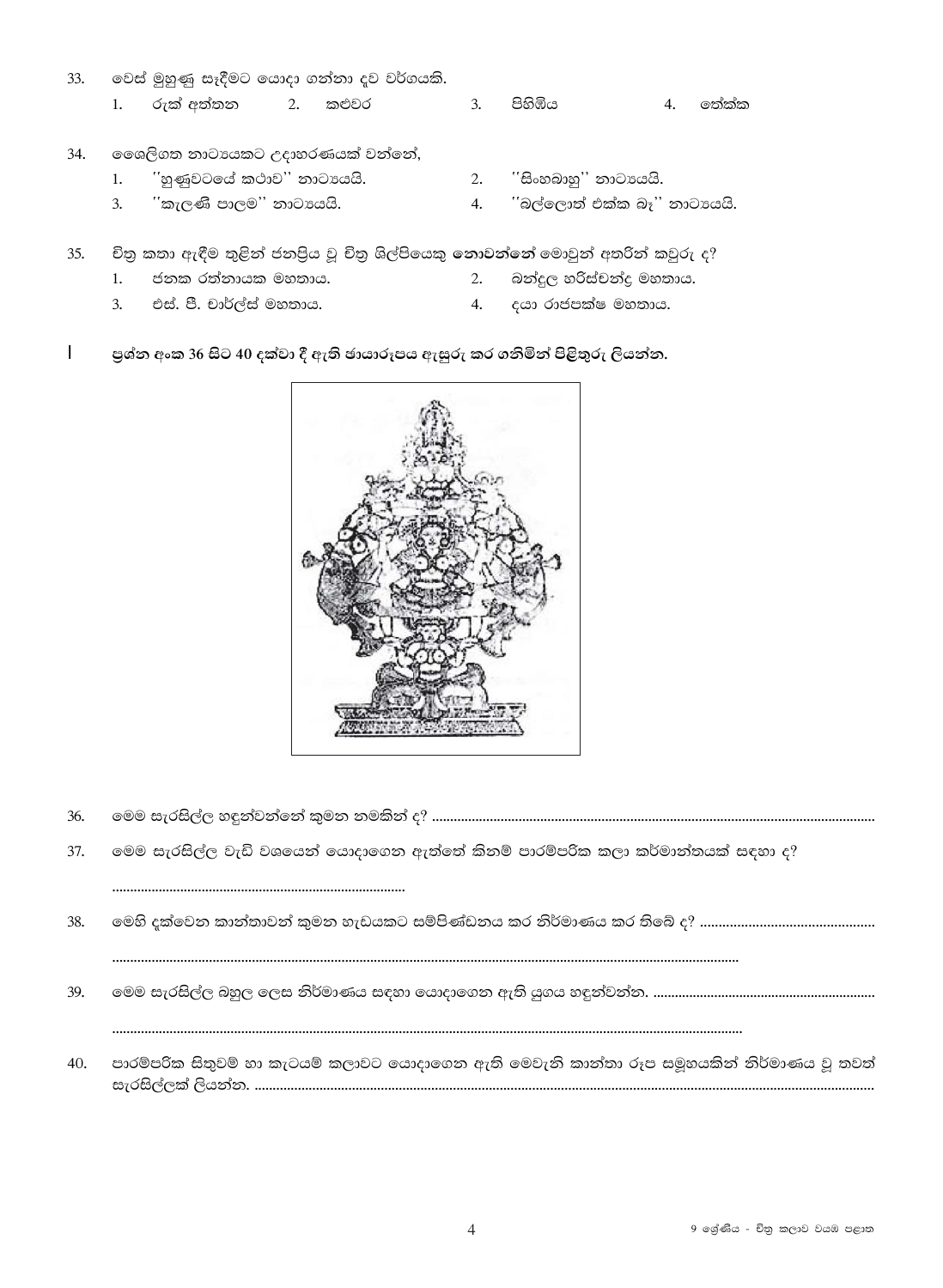- 33. වෙස් මුහුණු සෑදීමට යොදා ගන්නා දව වර්ගයකි. රුක් අත්තන  $2.$  $\mathbf{3}$ . පිහිඹිය  $1.$ කළුවර  $\overline{4}$ . ගත්ක්ක
- 34. මෛලිගත නාටායකට උදාහරණයක් වන්නේ,

 $\overline{3}$ .

- ිහුණුවටයේ කථාව'' නාටායයි.  $1.$ "කැලණි පාලම" නාටායයි.
- 2. 'සිංහබාහු'' නාටායයි.
- 4. 'කිල්ලොත් එක්ක බෑ'' නාටායයි.
- 35. චිතු කතා ඇඳීම තුළින් ජනපිය වූ චිතු ශිල්පියෙකු නොවන්නේ මොවුන් අතරින් කවුරු ද?
	- $1<sup>1</sup>$ ජනක රත්නායක මහතාය.  $2.$ බන්දුල හරිස්චන්දු මහතාය.
	- $3.$ එස්. පී. චාර්ල්ස් මහතාය. දයා රාජපක්ෂ මහතාය. 4.
- $\mathbf{I}$ පුශ්න අංක 36 සිට 40 දක්වා දී ඇති ඡායාරූපය ඇසුරු කර ගනිමින් පිළිතුරු ලියන්න.



- 36.
- 37. මෙම සැරසිල්ල වැඩි වශයෙන් යොදාගෙන ඇත්තේ කිනම් පාරම්පරික කලා කර්මාන්තයක් සඳහා ද?

- 38.
- 39.
- පාරම්පරික සිතුවම් හා කැටයම් කලාවට යොදාගෙන ඇති මෙවැනි කාන්තා රූප සමූහයකින් නිර්මාණය වූ තවත් 40.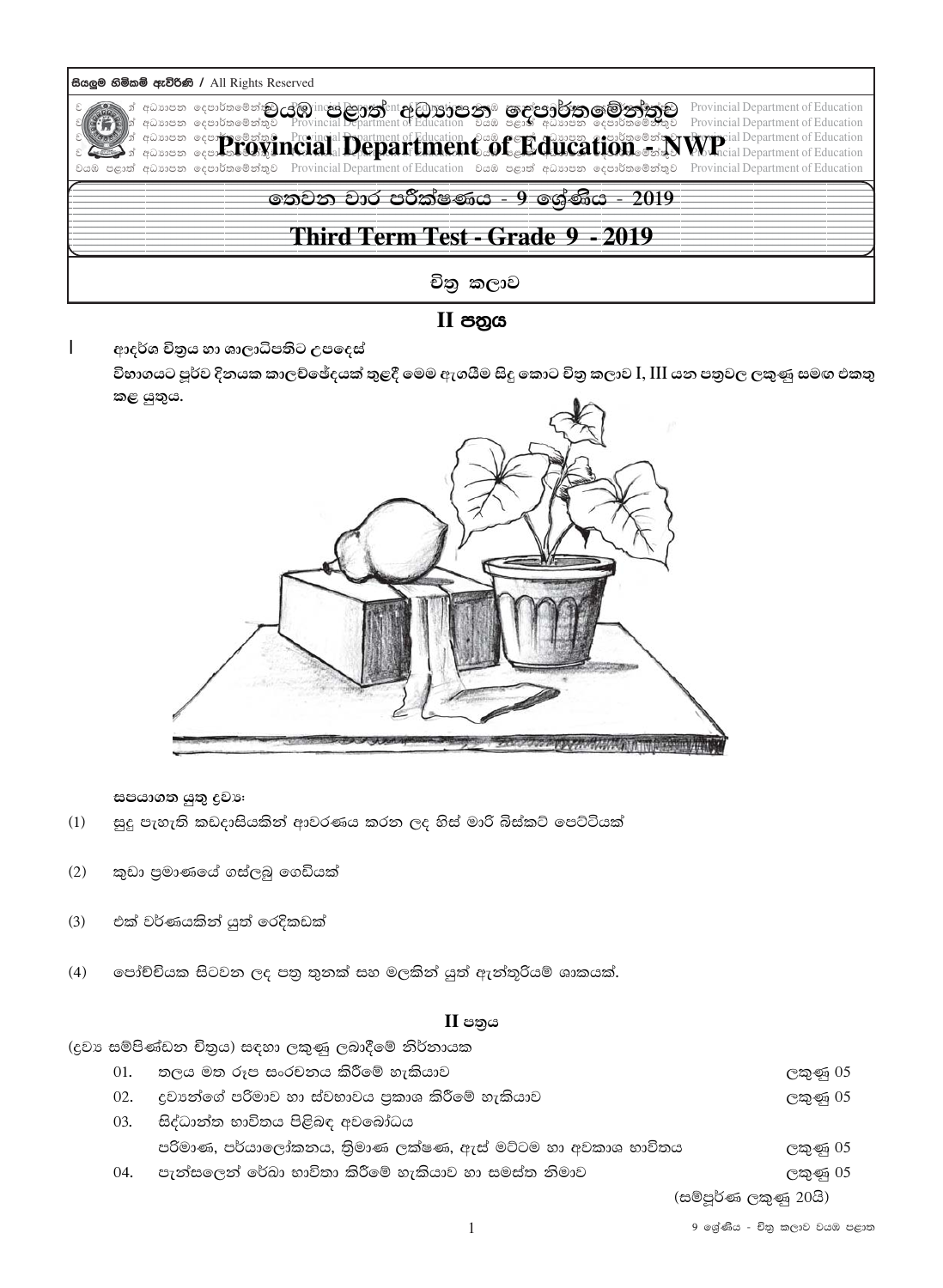| සියලුම හිමිකම් ඇව්රිණි / All Rights Reserved |                                                                                                                                                                                                                                  |                                                                                                                                                                                                                                                                                                                                                                                                                                                                                           |  |  |  |  |
|----------------------------------------------|----------------------------------------------------------------------------------------------------------------------------------------------------------------------------------------------------------------------------------|-------------------------------------------------------------------------------------------------------------------------------------------------------------------------------------------------------------------------------------------------------------------------------------------------------------------------------------------------------------------------------------------------------------------------------------------------------------------------------------------|--|--|--|--|
|                                              | ා් අධ්යාපන දෙපාර්තමේන්තු <b>උලිමු</b> inc <del>id ලිහුණු</del> දි¤it <b>දු</b> රිමුාල <b>්පොරිතුම ලැළැපිලිර්⁄පා මෙරින්තුව</b><br> න් අධ්යාපන දෙපාර්තමේන්තුව Provincial Department of Education වියඹ පළාත් අධ්යාපන දෙපාර්තමේන්තුව | Provincial Department of Education<br>Provincial Department of Education<br>$\rightarrow$ $^{\frac{1}{3}}$ against a compressibility $\bf{parallel}$ . Peringial Department of Education $\mathcal{C}$ and $\bf{f}$ and $\bf{f}$ and $\bf{f}$ and $\bf{f}$ and $\bf{f}$ and $\bf{f}$ and $\bf{f}$ and $\bf{f}$ are $\bf{f}$ and $\bf{f}$ and $\$<br>වයඹ පළාත් අධාාපන දෙපාර්තමේන්තුව Provincial Department of Education වයඹ පළාත් අධාාපන දෙපාර්තමේන්තුව Provincial Department of Education |  |  |  |  |
| තෙවන වාර පරීක්ෂණය - 9 ලශ්ණිය - 2019          |                                                                                                                                                                                                                                  |                                                                                                                                                                                                                                                                                                                                                                                                                                                                                           |  |  |  |  |
| Third Term Test - Grade 9 - 2019             |                                                                                                                                                                                                                                  |                                                                                                                                                                                                                                                                                                                                                                                                                                                                                           |  |  |  |  |
| චිතු කලාව                                    |                                                                                                                                                                                                                                  |                                                                                                                                                                                                                                                                                                                                                                                                                                                                                           |  |  |  |  |

II පහුය

 $\overline{1}$ ආදර්ශ චිතුය හා ශාලාධිපතිට උපදෙස් විභාගයට පූර්ව දිනයක කාලච්ඡේදයක් තුළදී මෙම ඇගයීම සිදු කොට චිතු කලාව I, III යන පතුවල ලකුණු සමඟ එකතු කළ යුතුය.



සපයාගත යුතු දුවා:

- සුදු පැහැති කඩදාසියකින් ආවරණය කරන ලද හිස් මාරි බිස්කට් පෙට්ටියක්  $(1)$
- කුඩා පුමාණයේ ගස්ලබු ගෙඩියක්  $(2)$
- එක් වර්ණයකින් යුත් රෙදිකඩක්  $(3)$
- $(4)$ පෝච්චියක සිටවන ලද පතු තුනක් සහ මලකින් යුත් ඇත්තුරියම් ශාකයක්.

### $II$  පතුය

|     | (දුවා සම්පිණ්ඩන චිතුය) සඳහා ලකුණු ලබාදීමේ නිර්නායක          |                       |
|-----|-------------------------------------------------------------|-----------------------|
| 01. | තලය මත රූප සංරචනය කිරීමේ හැකියාව                            | ලකුණු 05              |
| 02. | දුවාහේගේ පරිමාව හා ස්වභාවය පුකාශ කිරීමේ හැකියාව             | ලකුණු 05              |
| 03. | සිද්ධාන්ත භාවිතය පිළිබඳ අවබෝධය                              |                       |
|     | පරිමාණ, පර්යාලෝකනය, තිුමාණ ලක්ෂණ, ඇස් මට්ටම හා අවකාශ භාවිතය | ලකුණු 05              |
| 04. | පැත්සලෙත් රේඛා භාවිතා කිරීමේ හැකියාව හා සමස්ත නිමාව         | ලකුණු 05              |
|     |                                                             | (සම්පූර්ණ ලකුණු 20යි) |

9 ශේණිය - චිතු කලාව වයඹ පළාත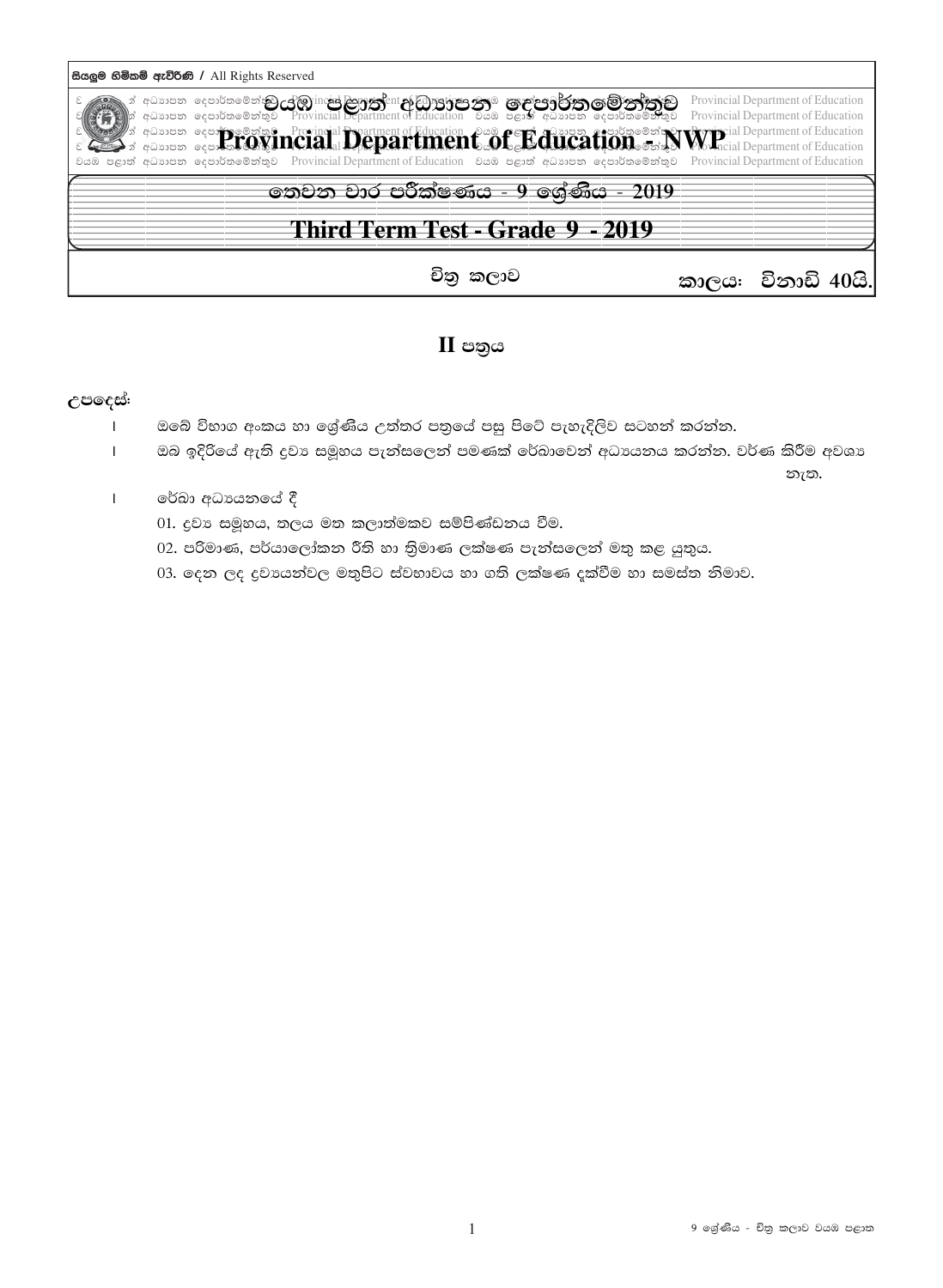

### $II$  පතුය

### උපදෙස්:

- ඔබේ විභාග අංකය හා ශේුණිය උත්තර පතුයේ පසු පිටේ පැහැදිලිව සටහන් කරන්න.  $\mathbf{I}$
- ඔබ ඉදිරියේ ඇති දුවා සමූහය පැත්සලෙන් පමණක් රේබාවෙන් අධායනය කරන්න. වර්ණ කිරීම අවශා  $\mathbf{I}$

නැත.

- රේඛා අධායනයේ දී  $\mathbf{I}$ 
	- 01. දුවා සමූහය, තලය මත කලාත්මකව සම්පිණ්ඩනය වීම.
	- 02. පරිමාණ, පර්යාලෝකන රීති හා තිමාණ ලක්ෂණ පැන්සලෙන් මතු කළ යුතුය.
	- 03. දෙන ලද දුවායන්වල මතුපිට ස්වභාවය හා ගති ලක්ෂණ දක්වීම හා සමස්ත නිමාව.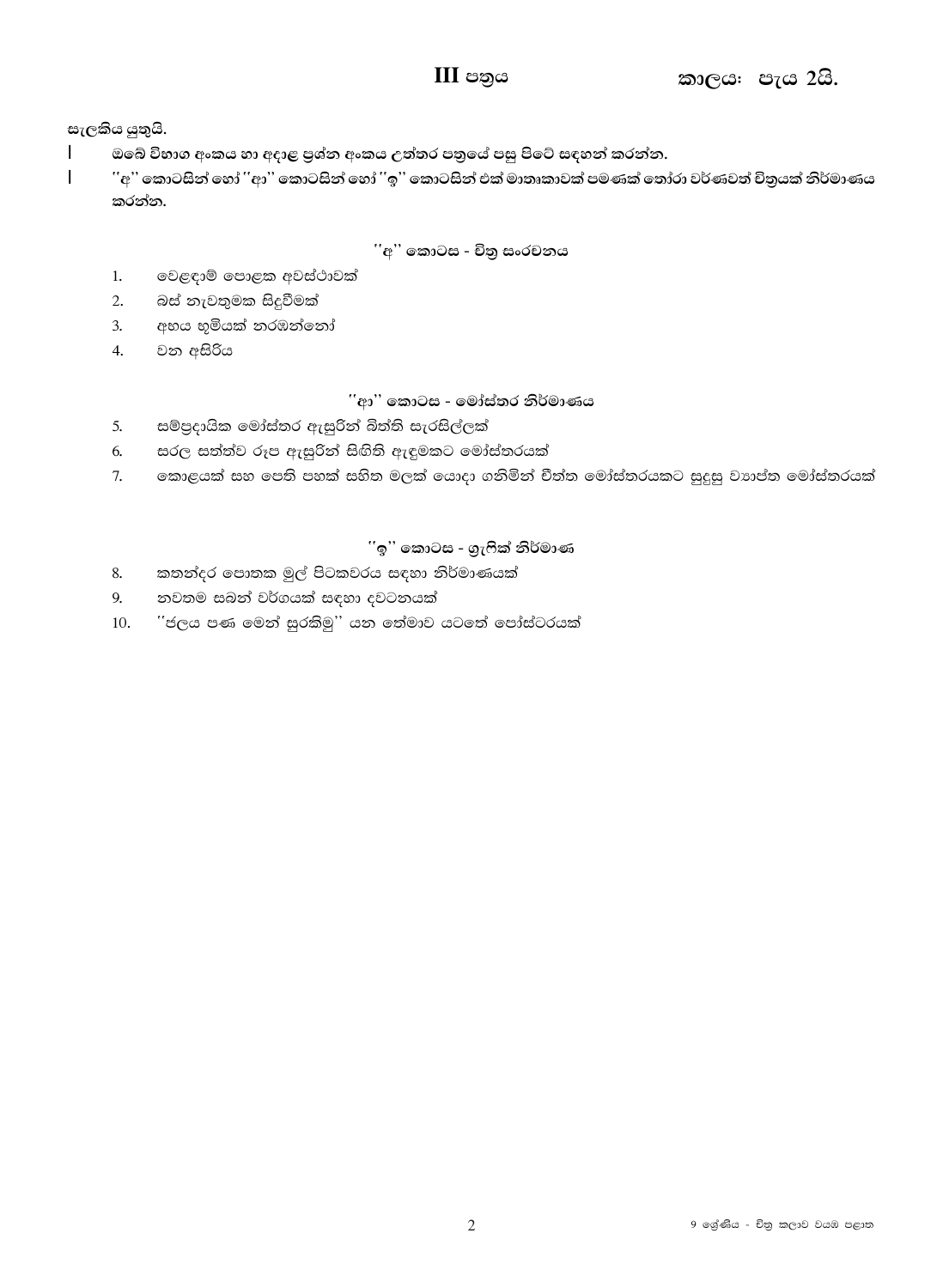# $III$  පතුය

### සැලකිය යුතුයි.

- $\mathbf{I}$ ඔබේ විභාග අංකය හා අදාළ පුශ්න අංකය උත්තර පතුයේ පසු පිටේ සඳහන් කරන්න.
- ''අ'' කොටසින් හෝ ''ආ'' කොටසින් හෝ ''ඉ'' කොටසින් එක් මාතෘකාවක් පමණක් තෝරා වර්ණවත් චිතුයක් නිර්මාණය  $\mathbf{I}$ කරන්න.

### ''අ'' කොටස - චිතු සංරචනය

- $1.$ වෙළඳාම් පොළක අවස්ථාවක්
- 2. බස් නැවතුමක සිදුවීමක්
- අභය භූමියක් තරඹන්නෝ  $3.$
- 4. වන අසිරිය

#### ිආ'' කොටස - මෝස්තර නිර්මාණය

- සම්පුදායික මෝස්තර ඇසුරින් බිත්ති සැරසිල්ලක්  $\mathcal{F}_{\mathcal{L}}$
- සරල සත්ත්ව රූප ඇසුරින් සිඟිති ඇඳුමකට මෝස්තරයක් 6.
- නොළයක් සහ පෙති පහක් සහිත මලක් යොදා ගනිමින් චීත්ත මෝස්තරයකට සුදුසු වාාප්ත මෝස්තරයක්  $7.$

### ිඉ'' කොටස - ගුැෆික් නිර්මාණ

- කතත්දර පොතක මුල් පිටකවරය සඳහා නිර්මාණයක් 8.
- නවතම සබන් වර්ගයක් සඳහා දවටනයක් 9.
- ''ජලය පණ මෙන් සුරකිමු'' යන තේමාව යටතේ පෝස්ටරයක්  $10.$